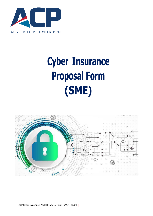

# **Cyber Insurance Proposal Form (SME)**

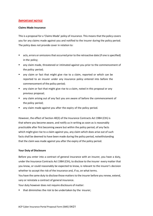# *IMPORTANT NOTICE*

# **Claims Made Insurance**

This is a proposal for a 'Claims Made' policy of insurance. This means that the policy covers you for any claims made against you and notified to the insurer during the policy period. The policy does not provide cover in relation to:

- acts, errors or omissions that occurred prior to the retroactive date (if one is specified) in the policy;
- any claim made, threatened or intimated against you prior to the commencement of the policy period;
- any claim or fact that might give rise to a claim, reported or which can be reported to an insurer under any insurance policy entered into before the commencement of the policy period;
- any claim or fact that might give rise to a claim, noted in this proposal or any previous proposal;
- any claim arising out of any fact you are aware of before the commencement of the policy period;
- any claim made against you after the expiry of the policy period.

However, the effect of Section 40(3) of the Insurance Contracts Act 1984 (Cth) is that where you become aware, and notify us in writing as soon as is reasonably practicable after first becoming aware but within the policy period, of any facts which might give rise to a claim against you, any claim which does arise out of such facts shall be deemed to have been made during the policy period, notwithstanding that the claim was made against you after the expiry of the policy period.

# **Your Duty of Disclosure**

Before you enter into a contract of general insurance with an insurer, you have a duty, under the Insurance Contracts Act 1984 (Cth), to disclose to the insurer every matter that you know, or could reasonably be expected to know, is relevant to the insurer's decision whether to accept the risk of the insurance and, if so, on what terms.

You have the same duty to disclose those matters to the insurer before you renew, extend, vary or reinstate a contract of general insurance.

Your duty however does not require disclosure of matter:

■ that diminishes the risk to be undertaken by the insurer;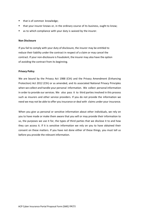- that is of common knowledge;
- that your insurer knows or, in the ordinary course of its business, ought to know;
- as to which compliance with your duty is waived by the insurer.

# **Non Disclosure**

If you fail to comply with your duty of disclosure, the insurer may be entitled to reduce their liability under the contract in respect of a claim or may cancel the contract. If your non-disclosure is fraudulent, the insurer may also have the option of avoiding the contract from its beginning.

### **Privacy Policy**

We are bound by the Privacy Act 1988 (Cth) and the Privacy Amendment (Enhancing Protection) Act 2012 (Cth) or as amended, and its associated National Privacy Principles when we collect and handle your personal information. We collect personal information in order to provide our services. We also pass it to third parties involved in this process such as insurers and other service providers. If you do not provide the information we need we may not be able to offer you insurance or deal with claims under your insurance.

When you give us personal or sensitive information about other individuals, we rely on you to have made or make them aware that you will or may provide their information to us, the purposes we use it for, the types of third parties that we disclose it to and how they can access it. If it is sensitive information we rely on you to have obtained their consent on these matters. If you have not done either of these things, you must tell us before you provide the relevant information.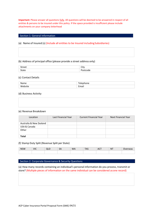**Important:** Please answer all questions fully. All questions will be deemed to be answered in respect of all entities & persons to be insured under this policy. If the space provided is insufficient please include attachments on your company letterhead

# Section 1: General Information

# (a) Name of Insured (s) (Include all entities to be Insured including Subsidiaries)

(b) Address of principal office (please provide a street address only)

| <b>Street</b> | $\sim$<br>`it |
|---------------|---------------|
| State         | pae           |

### (c) Contact Details

| Name          | $\overline{\phantom{a}}$<br>$\sim$ $\sim$ $\sim$ |
|---------------|--------------------------------------------------|
| ١٨<br>lahcita | -<br><br>--                                      |

# (d) Business Activity

### (e) Revenue Breakdown

| Location                | Last Financial Year | <b>Current Financial Year</b> | Next Financial Year |
|-------------------------|---------------------|-------------------------------|---------------------|
| Australia & New Zealand |                     |                               |                     |
| USA & Canada            |                     |                               |                     |
| Other                   |                     |                               |                     |
| <b>Total</b>            |                     |                               |                     |

# (f) Stamp Duty Split (Revenue Split per State)

| NSV<br><b>NSVV</b> | VIC<br>$\cdot$ $\cdot$ $\cdot$ | эΑ | WA. | - . -<br>$\overline{\phantom{0}}$ | $\sim$<br>$\mathbf{A}$<br><b>ACI</b> | N<br>. |  |
|--------------------|--------------------------------|----|-----|-----------------------------------|--------------------------------------|--------|--|
|                    |                                |    |     |                                   |                                      |        |  |

# Section 2: Corporate Governance & Security Questions

(a) How many records containing an individual's personal information do you process, transmit or store? (Multiple pieces of information on the same individual can be considered asone record)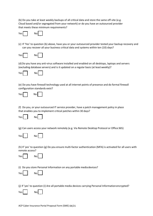(b) Do you take at least weekly backups of all critical data and store the same off-site (e.g. Cloud based and/or segregated from your network) or do you have an outsourced provider that meets these minimum requirements?

| ۰.<br>`ρς |  | Nol |  |
|-----------|--|-----|--|
|-----------|--|-----|--|

(c) If 'Yes' to question (b) above, have you or your outsourced provider tested your backup recovery and can you recover all your business critical data and systems within ten (10) days?

| ا عم′ | Nol |  |
|-------|-----|--|
|       |     |  |

(d)Do you have any anti-virus software installed and enabled on all desktops, laptops and servers (excluding database servers) and is it updated on a regular basis (at least weekly)?



(e) Do you have firewall technology used at all internet points of presence and do formal firewall configuration standards exist?

| ا ۷۵۲ |  | No l |  |  |
|-------|--|------|--|--|
|-------|--|------|--|--|

(f) Do you, or your outsourced IT service provider, have a patch management policy in place that enables you to implement critical patches within 30 days?



(g) Can users access your network remotely (e.g. Via Remote Desktop Protocol or Office 365)

| ا ¢⊿۷ |  | No I |  |
|-------|--|------|--|
|-------|--|------|--|

(h) If 'yes' to question (g) Do you ensure multi-factor authentication (MFA) is activated for all users with remote access?



(i) Do you store Personal Information on any portable mediadevices?

| v<br>۵۹′ |  | NΩ. |  |
|----------|--|-----|--|
|----------|--|-----|--|

(j) If 'yes' to question (i) Are all portable media devices carrying Personal Information encrypted?

| ۷ρς |  | Nol |  |  |
|-----|--|-----|--|--|
|-----|--|-----|--|--|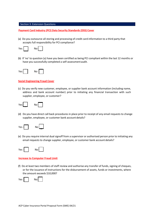# Section 3: Extension Questions

**Payment Card Industry (PCI) Data Security Standards (DSS) Cover**

(a) Do you outsource all storing and processing of credit card information to a third party that accepts full responsibility for PCI compliance?



(b) If 'no' to question (a) have you been certified as being PCI compliant within the last 12 months or have you successfully completed a self-assessment audit.



### **Social Engineering Fraud Cover**

(c) Do you verify new customer, employee, or supplier bank account information (including name, address and bank account number) prior to initiating any financial transaction with such supplier, employee, or customer?

| res I |  | NO " |  |  |
|-------|--|------|--|--|
|-------|--|------|--|--|

(d) Do you have direct call back procedures in place prior to receipt of any email requests to change supplier, employee, or customer bank account details?



(e) Do you require internal dual signoff from a supervisor or authorised person prior to initiating any email requests to change supplier, employee, or customer bank account details?



# **Increase to Computer Fraud Limit**

(f) Do at least two members of staff review and authorise any transfer of funds, signing of cheques, or for the issuance of instructions for the disbursement of assets, funds or investments, where the amount exceeds \$10,000?

| ۵c |  | No∥ |  |  |
|----|--|-----|--|--|
|----|--|-----|--|--|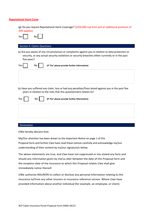# **Reputational Harm Cover**

(g) Do you require Reputational Harm Coverage? (\$250,000 sub limit and an additional premium of 20% applies)

| Υρς | No l |  |
|-----|------|--|
|     |      |  |

# Section 4: Claims Questions

(a) Are you aware of any circumstances or complaints against you in relation to data protection or security, or any actual security violations or security breaches either currently or in the past five years?

| Yes | No I | (If 'Yes' please provide further information)                                                                                                                              |  |
|-----|------|----------------------------------------------------------------------------------------------------------------------------------------------------------------------------|--|
|     |      |                                                                                                                                                                            |  |
|     |      |                                                                                                                                                                            |  |
|     |      | (b) Have you suffered any claim, loss or had any penalties/fines levied against you in the past five<br>years in relation to the risks that this questionnaire relates to? |  |

| Yes $\parallel$ | No | (If 'Yes' please provide further information) |  |
|-----------------|----|-----------------------------------------------|--|
|                 |    |                                               |  |
|                 |    |                                               |  |
|                 |    |                                               |  |

### Declaration

I/We hereby declare that:

My/Our attention has been drawn to the Important Notice on page 1 of this Proposal form and further I/we have read these notices carefully and acknowledge my/our understanding of their content by my/our signature/s below.

The above statements are true, and I/we have not suppressed or mis-stated any facts and should any information given by me/us alter between the date of this Proposal form and the inception date of the insurance to which this Proposal relates I/we shall give immediately notice thereof.

I/We authorise INSURERS to collect or disclose any personal information relating to this insurance to/from any other insurers or insurance reference service. Where I/we have provided information about another individual (for example, an employee, or client).